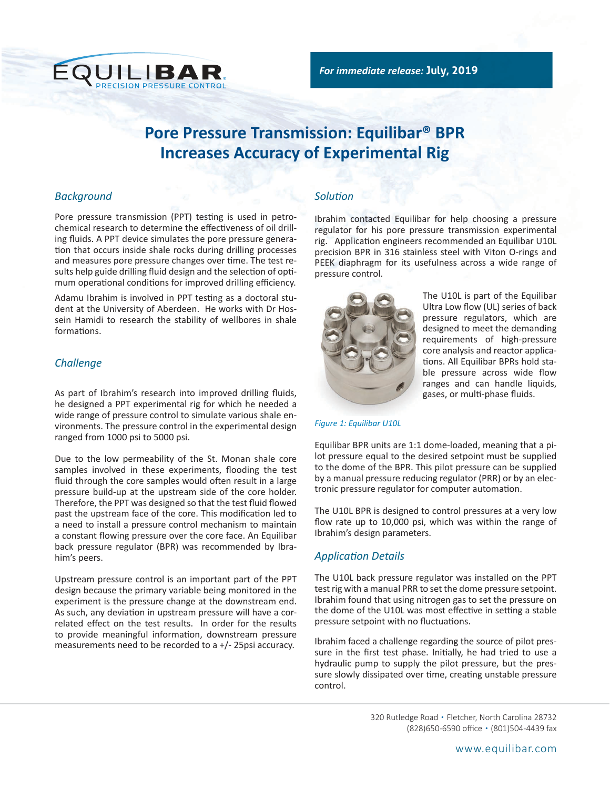

# **Pore Pressure Transmission: Equilibar® BPR Increases Accuracy of Experimental Rig**

### *Background*

Pore pressure transmission (PPT) testing is used in petrochemical research to determine the effectiveness of oil drilling fluids. A PPT device simulates the pore pressure generation that occurs inside shale rocks during drilling processes and measures pore pressure changes over time. The test results help guide drilling fluid design and the selection of optimum operational conditions for improved drilling efficiency.

Adamu Ibrahim is involved in PPT testing as a doctoral student at the University of Aberdeen. He works with Dr Hossein Hamidi to research the stability of wellbores in shale formations.

### *Challenge*

As part of Ibrahim's research into improved drilling fluids, he designed a PPT experimental rig for which he needed a wide range of pressure control to simulate various shale environments. The pressure control in the experimental design ranged from 1000 psi to 5000 psi.

Due to the low permeability of the St. Monan shale core samples involved in these experiments, flooding the test fluid through the core samples would often result in a large pressure build-up at the upstream side of the core holder. Therefore, the PPT was designed so that the test fluid flowed past the upstream face of the core. This modification led to a need to install a pressure control mechanism to maintain a constant flowing pressure over the core face. An Equilibar back pressure regulator (BPR) was recommended by Ibrahim's peers.

Upstream pressure control is an important part of the PPT design because the primary variable being monitored in the experiment is the pressure change at the downstream end. As such, any deviation in upstream pressure will have a correlated effect on the test results. In order for the results to provide meaningful information, downstream pressure measurements need to be recorded to a +/- 25psi accuracy.

## *Solution*

Ibrahim contacted Equilibar for help choosing a pressure regulator for his pore pressure transmission experimental rig. Application engineers recommended an Equilibar U10L precision BPR in 316 stainless steel with Viton O-rings and PEEK diaphragm for its usefulness across a wide range of pressure control.



[T](https://www.equilibar.com/product/back-pressure-regulators/u10l-high-pressure-ultra-low-flow-back-pressure-regulator/)he U10L is part of the Equilibar Ultra Low flow (UL) series of back pressure regulators, which are designed to meet the demanding requirements of high-pressure core analysis and reactor applications. All Equilibar BPRs hold stable pressure across wide flow ranges and can handle liquids, gases, or multi-phase fluids.

*Figure 1: Equilibar U10L*

Equilibar BPR units are 1:1 dome-loaded, meaning that a pilot pressure equal to the desired setpoint must be supplied to the dome of the BPR. This pilot pressure can be supplied by a manual pressure reducing regulator (PRR) or by an electronic pressure regulator for computer automation.

The U10L BPR is designed to control pressures at a very low flow rate up to 10,000 psi, which was within the range of Ibrahim's design parameters.

# *Application Details*

The U10L back pressure regulator was installed on the PPT test rig with a manual PRR to set the dome pressure setpoint. Ibrahim found that using nitrogen gas to set the pressure on the dome of the U10L was most effective in setting a stable pressure setpoint with no fluctuations.

Ibrahim faced a challenge regarding the source of pilot pressure in the first test phase. Initially, he had tried to use a hydraulic pump to supply the pilot pressure, but the pressure slowly dissipated over time, creating unstable pressure control.

> 320 Rutledge Road • Fletcher, North Carolina 28732 (828)650-6590 office • (801)504-4439 fax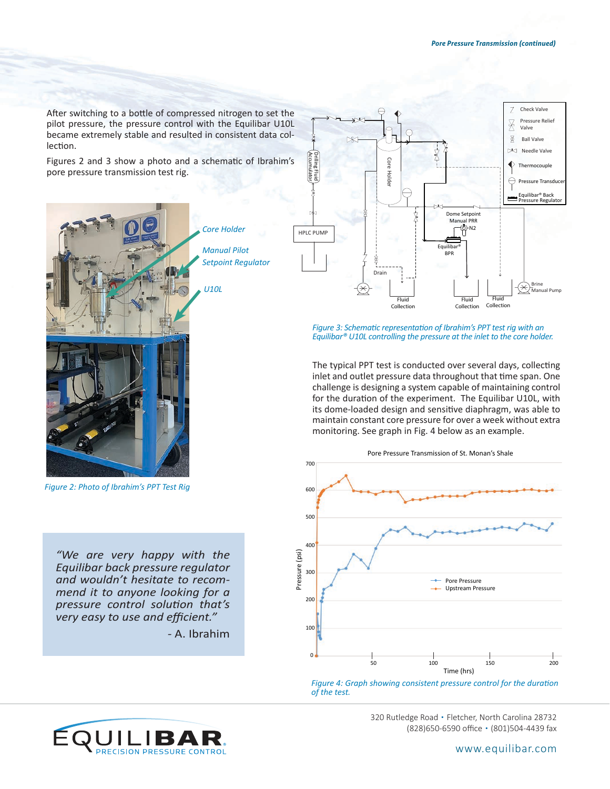After switching to a bottle of compressed nitrogen to set the pilot pressure, the pressure control with the Equilibar U10L became extremely stable and resulted in consistent data collection.

Figures 2 and 3 show a photo and a schematic of Ibrahim's pore pressure transmission test rig.



*Figure 2: Photo of Ibrahim's PPT Test Rig*

*"We are very happy with the Equilibar back pressure regulator and wouldn't hesitate to recommend it to anyone looking for a pressure control solution that's very easy to use and efficient."* 

*-* A. Ibrahim



*Figure 3: Schematic representation of Ibrahim's PPT test rig with an Equilibar® U10L controlling the pressure at the inlet to the core holder.*

The typical PPT test is conducted over several days, collecting inlet and outlet pressure data throughout that time span. One challenge is designing a system capable of maintaining control for the duration of the experiment. The Equilibar U10L, with its dome-loaded design and sensitive diaphragm, was able to maintain constant core pressure for over a week without extra monitoring. See graph in Fig. 4 below as an example.



*Figure 4: Graph showing consistent pressure control for the duration of the test.*



320 Rutledge Road • Fletcher, North Carolina 28732 (828)650-6590 office • (801)504-4439 fax